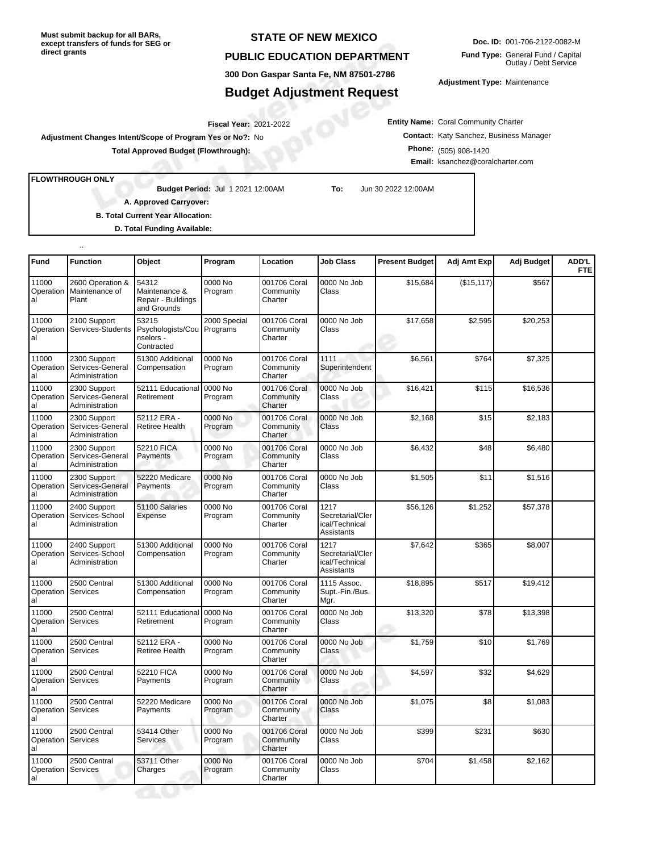**Must submit backup for all BARs, except transfers of funds for SEG or direct grants**

## **STATE OF NEW MEXICO**

## **PUBLIC EDUCATION DEPARTMENT**

**300 Don Gaspar Santa Fe, NM 87501-2786**

## **Budget Adjustment Request**

**Doc. ID:** 001-706-2122-0082-M **Fund Type:** General Fund / Capital Outlay / Debt Service

**Adjustment Type:** Maintenance

**Entity Name:** Coral Community Charter **Contact:** Katy Sanchez, Business Manager **Phone:** (505) 908-1420 **Email:** ksanchez@coralcharter.com

2021-2022 **Fiscal Year: Adjustment Changes Intent/Scope of Program Yes or No?:** No

**Total Approved Budget (Flowthrough):**

**FLOWTHROUGH ONLY**

..

**Budget Period:**

Jul 1 2021 12:00AM **To:** Jun 30 2022 12:00AM

**A. Approved Carryover:** 

**B. Total Current Year Allocation:**

**D. Total Funding Available:**

| Fund                              | <b>Function</b>                                    | Object                                                      | Program                  | Location                             | <b>Job Class</b>                                         | <b>Present Budget</b> | Adj Amt Exp | Adj Budget | ADD'L<br><b>FTE</b> |
|-----------------------------------|----------------------------------------------------|-------------------------------------------------------------|--------------------------|--------------------------------------|----------------------------------------------------------|-----------------------|-------------|------------|---------------------|
| 11000<br>Operation<br>al          | 2600 Operation &<br>Maintenance of<br>Plant        | 54312<br>Maintenance &<br>Repair - Buildings<br>and Grounds | 0000 No<br>Program       | 001706 Coral<br>Community<br>Charter | 0000 No Job<br>Class                                     | \$15,684              | (\$15, 117) | \$567      |                     |
| 11000<br>Operation<br>al          | 2100 Support<br>Services-Students                  | 53215<br>Psychologists/Cou<br>nselors -<br>Contracted       | 2000 Special<br>Programs | 001706 Coral<br>Community<br>Charter | 0000 No Job<br>Class                                     | \$17,658              | \$2,595     | \$20,253   |                     |
| 11000<br>Operation<br>al          | 2300 Support<br>Services-General<br>Administration | 51300 Additional<br>Compensation                            | 0000 No<br>Program       | 001706 Coral<br>Community<br>Charter | 1111<br>Superintendent                                   | \$6,561               | \$764       | \$7,325    |                     |
| 11000<br>Operation<br>al          | 2300 Support<br>Services-General<br>Administration | 52111 Educationa<br>Retirement                              | 0000 No<br>Program       | 001706 Coral<br>Community<br>Charter | 0000 No Job<br>Class                                     | \$16,421              | \$115       | \$16,536   |                     |
| 11000<br>Operation<br>al          | 2300 Support<br>Services-General<br>Administration | 52112 ERA -<br><b>Retiree Health</b>                        | 0000 No<br>Program       | 001706 Coral<br>Community<br>Charter | 0000 No Job<br>Class                                     | \$2,168               | \$15        | \$2,183    |                     |
| 11000<br>Operation<br>al          | 2300 Support<br>Services-General<br>Administration | 52210 FICA<br>Payments                                      | 0000 No<br>Program       | 001706 Coral<br>Community<br>Charter | 0000 No Job<br>Class                                     | \$6,432               | \$48        | \$6,480    |                     |
| 11000<br>Operation<br>al          | 2300 Support<br>Services-General<br>Administration | 52220 Medicare<br>Payments                                  | 0000 No<br>Program       | 001706 Coral<br>Community<br>Charter | 0000 No Job<br>Class                                     | \$1,505               | \$11        | \$1,516    |                     |
| 11000<br>Operation<br>al          | 2400 Support<br>Services-School<br>Administration  | 51100 Salaries<br>Expense                                   | 0000 No<br>Program       | 001706 Coral<br>Community<br>Charter | 1217<br>Secretarial/Cler<br>ical/Technical<br>Assistants | \$56,126              | \$1,252     | \$57,378   |                     |
| 11000<br>Operation<br>al          | 2400 Support<br>Services-School<br>Administration  | 51300 Additional<br>Compensation                            | 0000 No<br>Program       | 001706 Coral<br>Community<br>Charter | 1217<br>Secretarial/Cler<br>ical/Technical<br>Assistants | \$7,642               | \$365       | \$8,007    |                     |
| 11000<br>Operation Services<br>al | 2500 Central                                       | 51300 Additional<br>Compensation                            | 0000 No<br>Program       | 001706 Coral<br>Community<br>Charter | 1115 Assoc.<br>Supt.-Fin./Bus.<br>Mgr.                   | \$18,895              | \$517       | \$19,412   |                     |
| 11000<br>Operation<br>al          | 2500 Central<br>Services                           | 52111 Educational<br>Retirement                             | 0000 No<br>Program       | 001706 Coral<br>Community<br>Charter | 0000 No Job<br>Class                                     | \$13,320              | \$78        | \$13,398   |                     |
| 11000<br>Operation Services<br>al | 2500 Central                                       | 52112 ERA -<br>Retiree Health                               | 0000 No<br>Program       | 001706 Coral<br>Community<br>Charter | 0000 No Job<br>Class                                     | \$1,759               | \$10        | \$1,769    |                     |
| 11000<br>Operation<br>al          | 2500 Central<br>Services                           | 52210 FICA<br>Payments                                      | 0000 No<br>Program       | 001706 Coral<br>Community<br>Charter | 0000 No Job<br>Class                                     | \$4,597               | \$32        | \$4,629    |                     |
| 11000<br>Operation<br>al          | 2500 Central<br>Services                           | 52220 Medicare<br>Payments                                  | 0000 No<br>Program       | 001706 Coral<br>Community<br>Charter | 0000 No Job<br>Class                                     | \$1,075               | \$8         | \$1,083    |                     |
| 11000<br>Operation<br>al          | 2500 Central<br>Services                           | 53414 Other<br>Services                                     | 0000 No<br>Program       | 001706 Coral<br>Community<br>Charter | 0000 No Job<br>Class                                     | \$399                 | \$231       | \$630      |                     |
| 11000<br>Operation<br>al          | 2500 Central<br>Services                           | 53711 Other<br>Charges                                      | 0000 No<br>Program       | 001706 Coral<br>Community<br>Charter | 0000 No Job<br>Class                                     | \$704                 | \$1,458     | \$2,162    |                     |